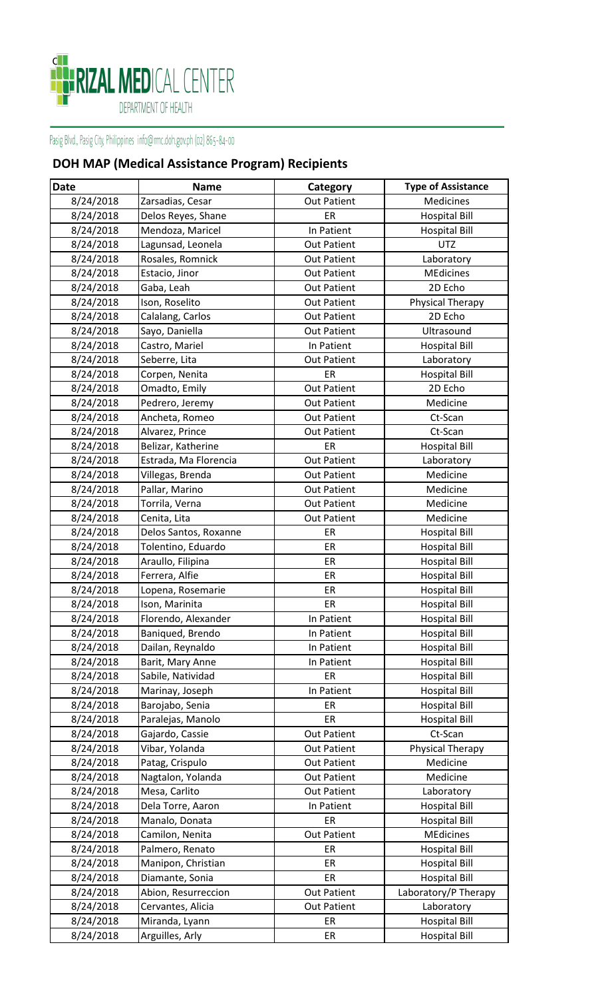

## Pasig Blvd., Pasig City, Philippines info@rmc.doh.gov.ph (02) 865-84-00

## **DOH MAP (Medical Assistance Program) Recipients**

| <b>Date</b> | <b>Name</b>           | Category           | <b>Type of Assistance</b> |
|-------------|-----------------------|--------------------|---------------------------|
| 8/24/2018   | Zarsadias, Cesar      | <b>Out Patient</b> | Medicines                 |
| 8/24/2018   | Delos Reyes, Shane    | ER                 | <b>Hospital Bill</b>      |
| 8/24/2018   | Mendoza, Maricel      | In Patient         | <b>Hospital Bill</b>      |
| 8/24/2018   | Lagunsad, Leonela     | <b>Out Patient</b> | <b>UTZ</b>                |
| 8/24/2018   | Rosales, Romnick      | <b>Out Patient</b> | Laboratory                |
| 8/24/2018   | Estacio, Jinor        | <b>Out Patient</b> | <b>MEdicines</b>          |
| 8/24/2018   | Gaba, Leah            | <b>Out Patient</b> | 2D Echo                   |
| 8/24/2018   | Ison, Roselito        | <b>Out Patient</b> | Physical Therapy          |
| 8/24/2018   | Calalang, Carlos      | <b>Out Patient</b> | 2D Echo                   |
| 8/24/2018   | Sayo, Daniella        | <b>Out Patient</b> | Ultrasound                |
| 8/24/2018   | Castro, Mariel        | In Patient         | <b>Hospital Bill</b>      |
| 8/24/2018   | Seberre, Lita         | <b>Out Patient</b> | Laboratory                |
| 8/24/2018   | Corpen, Nenita        | ER                 | <b>Hospital Bill</b>      |
| 8/24/2018   | Omadto, Emily         | <b>Out Patient</b> | 2D Echo                   |
| 8/24/2018   | Pedrero, Jeremy       | <b>Out Patient</b> | Medicine                  |
| 8/24/2018   | Ancheta, Romeo        | <b>Out Patient</b> | Ct-Scan                   |
| 8/24/2018   | Alvarez, Prince       | <b>Out Patient</b> | Ct-Scan                   |
| 8/24/2018   | Belizar, Katherine    | ER                 | <b>Hospital Bill</b>      |
| 8/24/2018   | Estrada, Ma Florencia | <b>Out Patient</b> | Laboratory                |
| 8/24/2018   | Villegas, Brenda      | <b>Out Patient</b> | Medicine                  |
| 8/24/2018   | Pallar, Marino        | <b>Out Patient</b> | Medicine                  |
| 8/24/2018   | Torrila, Verna        | <b>Out Patient</b> | Medicine                  |
| 8/24/2018   | Cenita, Lita          | <b>Out Patient</b> | Medicine                  |
| 8/24/2018   | Delos Santos, Roxanne | ER                 | <b>Hospital Bill</b>      |
| 8/24/2018   | Tolentino, Eduardo    | ER                 | <b>Hospital Bill</b>      |
| 8/24/2018   | Araullo, Filipina     | ER                 | <b>Hospital Bill</b>      |
| 8/24/2018   | Ferrera, Alfie        | ER                 | <b>Hospital Bill</b>      |
| 8/24/2018   | Lopena, Rosemarie     | ER                 | <b>Hospital Bill</b>      |
| 8/24/2018   | Ison, Marinita        | ER                 | <b>Hospital Bill</b>      |
| 8/24/2018   | Florendo, Alexander   | In Patient         | <b>Hospital Bill</b>      |
| 8/24/2018   | Baniqued, Brendo      | In Patient         | <b>Hospital Bill</b>      |
| 8/24/2018   | Dailan, Reynaldo      | In Patient         | <b>Hospital Bill</b>      |
| 8/24/2018   | Barit, Mary Anne      | In Patient         | <b>Hospital Bill</b>      |
| 8/24/2018   | Sabile, Natividad     | ER                 | <b>Hospital Bill</b>      |
| 8/24/2018   | Marinay, Joseph       | In Patient         | <b>Hospital Bill</b>      |
| 8/24/2018   | Barojabo, Senia       | ER                 | <b>Hospital Bill</b>      |
| 8/24/2018   | Paralejas, Manolo     | ER                 | <b>Hospital Bill</b>      |
| 8/24/2018   | Gajardo, Cassie       | <b>Out Patient</b> | Ct-Scan                   |
| 8/24/2018   | Vibar, Yolanda        | <b>Out Patient</b> | Physical Therapy          |
| 8/24/2018   | Patag, Crispulo       | Out Patient        | Medicine                  |
| 8/24/2018   | Nagtalon, Yolanda     | <b>Out Patient</b> | Medicine                  |
| 8/24/2018   | Mesa, Carlito         | <b>Out Patient</b> | Laboratory                |
| 8/24/2018   | Dela Torre, Aaron     | In Patient         | <b>Hospital Bill</b>      |
| 8/24/2018   | Manalo, Donata        | ER                 | <b>Hospital Bill</b>      |
| 8/24/2018   | Camilon, Nenita       | <b>Out Patient</b> | <b>MEdicines</b>          |
| 8/24/2018   | Palmero, Renato       | ER                 | <b>Hospital Bill</b>      |
| 8/24/2018   | Manipon, Christian    | ER                 | <b>Hospital Bill</b>      |
| 8/24/2018   | Diamante, Sonia       | ER                 | <b>Hospital Bill</b>      |
| 8/24/2018   | Abion, Resurreccion   | <b>Out Patient</b> | Laboratory/P Therapy      |
| 8/24/2018   | Cervantes, Alicia     | <b>Out Patient</b> | Laboratory                |
| 8/24/2018   | Miranda, Lyann        | ER                 | <b>Hospital Bill</b>      |
| 8/24/2018   | Arguilles, Arly       | ER                 | <b>Hospital Bill</b>      |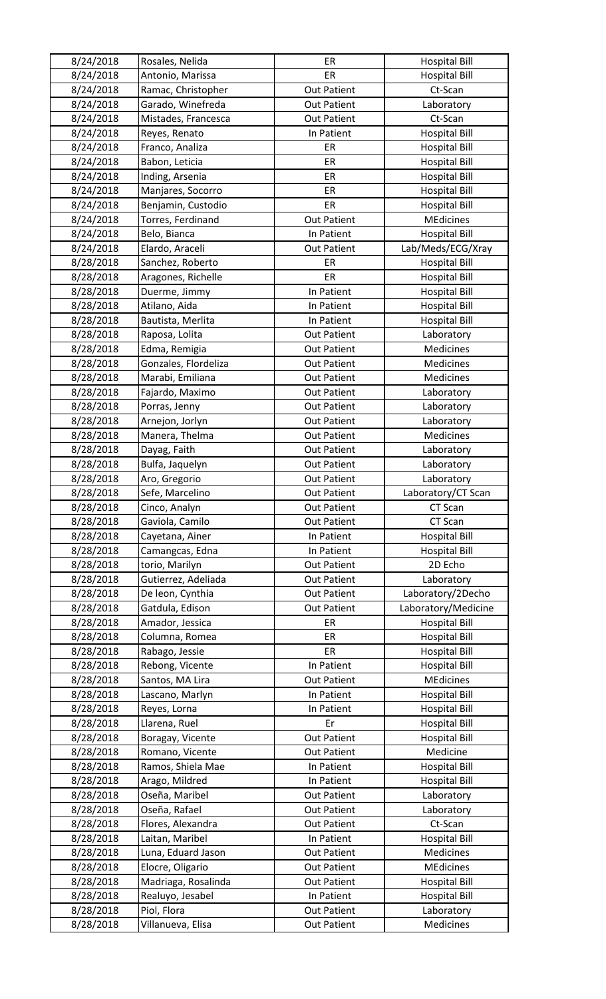| 8/24/2018 | Rosales, Nelida      | ER                 | <b>Hospital Bill</b> |
|-----------|----------------------|--------------------|----------------------|
| 8/24/2018 | Antonio, Marissa     | ER                 | <b>Hospital Bill</b> |
| 8/24/2018 | Ramac, Christopher   | <b>Out Patient</b> | Ct-Scan              |
| 8/24/2018 | Garado, Winefreda    | <b>Out Patient</b> | Laboratory           |
| 8/24/2018 | Mistades, Francesca  | <b>Out Patient</b> | Ct-Scan              |
| 8/24/2018 | Reyes, Renato        | In Patient         | <b>Hospital Bill</b> |
| 8/24/2018 | Franco, Analiza      | ER                 | <b>Hospital Bill</b> |
| 8/24/2018 | Babon, Leticia       | ER                 | <b>Hospital Bill</b> |
| 8/24/2018 | Inding, Arsenia      | ER                 | <b>Hospital Bill</b> |
| 8/24/2018 | Manjares, Socorro    | ER                 | <b>Hospital Bill</b> |
| 8/24/2018 | Benjamin, Custodio   | ER                 | <b>Hospital Bill</b> |
| 8/24/2018 | Torres, Ferdinand    | <b>Out Patient</b> | <b>MEdicines</b>     |
| 8/24/2018 | Belo, Bianca         | In Patient         | <b>Hospital Bill</b> |
| 8/24/2018 | Elardo, Araceli      | <b>Out Patient</b> | Lab/Meds/ECG/Xray    |
| 8/28/2018 | Sanchez, Roberto     | ER                 | <b>Hospital Bill</b> |
| 8/28/2018 | Aragones, Richelle   | ER                 | <b>Hospital Bill</b> |
| 8/28/2018 | Duerme, Jimmy        | In Patient         | <b>Hospital Bill</b> |
| 8/28/2018 | Atilano, Aida        | In Patient         | <b>Hospital Bill</b> |
| 8/28/2018 | Bautista, Merlita    | In Patient         | <b>Hospital Bill</b> |
| 8/28/2018 | Raposa, Lolita       | <b>Out Patient</b> | Laboratory           |
| 8/28/2018 | Edma, Remigia        | <b>Out Patient</b> | Medicines            |
| 8/28/2018 | Gonzales, Flordeliza | <b>Out Patient</b> | Medicines            |
| 8/28/2018 | Marabi, Emiliana     | <b>Out Patient</b> | Medicines            |
| 8/28/2018 | Fajardo, Maximo      | <b>Out Patient</b> | Laboratory           |
| 8/28/2018 | Porras, Jenny        | <b>Out Patient</b> | Laboratory           |
| 8/28/2018 | Arnejon, Jorlyn      | <b>Out Patient</b> | Laboratory           |
| 8/28/2018 | Manera, Thelma       | <b>Out Patient</b> | Medicines            |
| 8/28/2018 | Dayag, Faith         | <b>Out Patient</b> | Laboratory           |
| 8/28/2018 | Bulfa, Jaquelyn      | <b>Out Patient</b> | Laboratory           |
| 8/28/2018 | Aro, Gregorio        | <b>Out Patient</b> | Laboratory           |
| 8/28/2018 | Sefe, Marcelino      | <b>Out Patient</b> | Laboratory/CT Scan   |
| 8/28/2018 | Cinco, Analyn        | <b>Out Patient</b> | CT Scan              |
| 8/28/2018 | Gaviola, Camilo      | <b>Out Patient</b> | CT Scan              |
| 8/28/2018 | Cayetana, Ainer      | In Patient         | <b>Hospital Bill</b> |
| 8/28/2018 | Camangcas, Edna      | In Patient         | <b>Hospital Bill</b> |
| 8/28/2018 | torio, Marilyn       | <b>Out Patient</b> | 2D Echo              |
| 8/28/2018 | Gutierrez, Adeliada  | <b>Out Patient</b> | Laboratory           |
| 8/28/2018 | De leon, Cynthia     | <b>Out Patient</b> | Laboratory/2Decho    |
| 8/28/2018 | Gatdula, Edison      | <b>Out Patient</b> | Laboratory/Medicine  |
| 8/28/2018 | Amador, Jessica      | ER                 | <b>Hospital Bill</b> |
| 8/28/2018 | Columna, Romea       | ER                 | <b>Hospital Bill</b> |
| 8/28/2018 | Rabago, Jessie       | ER                 | <b>Hospital Bill</b> |
| 8/28/2018 | Rebong, Vicente      | In Patient         | <b>Hospital Bill</b> |
| 8/28/2018 | Santos, MA Lira      | <b>Out Patient</b> | <b>MEdicines</b>     |
| 8/28/2018 | Lascano, Marlyn      | In Patient         | <b>Hospital Bill</b> |
| 8/28/2018 | Reyes, Lorna         | In Patient         | <b>Hospital Bill</b> |
| 8/28/2018 | Llarena, Ruel        | Er                 | <b>Hospital Bill</b> |
| 8/28/2018 | Boragay, Vicente     | <b>Out Patient</b> | <b>Hospital Bill</b> |
| 8/28/2018 | Romano, Vicente      | <b>Out Patient</b> | Medicine             |
| 8/28/2018 | Ramos, Shiela Mae    | In Patient         | <b>Hospital Bill</b> |
| 8/28/2018 | Arago, Mildred       | In Patient         | <b>Hospital Bill</b> |
| 8/28/2018 | Oseña, Maribel       | <b>Out Patient</b> | Laboratory           |
| 8/28/2018 | Oseña, Rafael        | <b>Out Patient</b> | Laboratory           |
| 8/28/2018 | Flores, Alexandra    | <b>Out Patient</b> | Ct-Scan              |
| 8/28/2018 | Laitan, Maribel      | In Patient         | <b>Hospital Bill</b> |
| 8/28/2018 | Luna, Eduard Jason   | <b>Out Patient</b> | Medicines            |
| 8/28/2018 | Elocre, Oligario     | <b>Out Patient</b> | <b>MEdicines</b>     |
| 8/28/2018 | Madriaga, Rosalinda  | <b>Out Patient</b> | <b>Hospital Bill</b> |
| 8/28/2018 | Realuyo, Jesabel     | In Patient         | <b>Hospital Bill</b> |
| 8/28/2018 | Piol, Flora          | <b>Out Patient</b> | Laboratory           |
| 8/28/2018 | Villanueva, Elisa    | <b>Out Patient</b> | Medicines            |
|           |                      |                    |                      |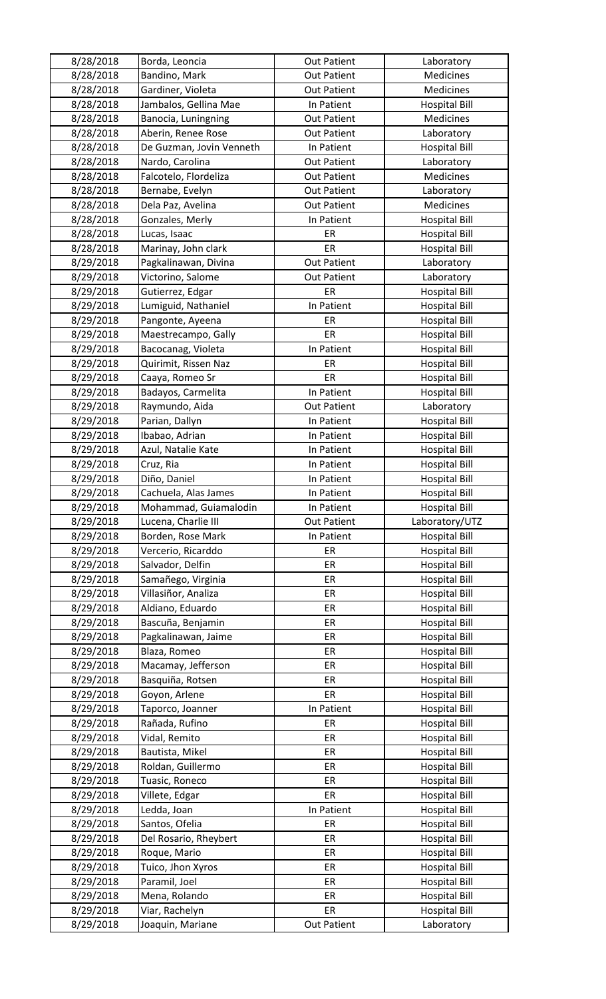| 8/28/2018              | Borda, Leoncia                     | <b>Out Patient</b> | Laboratory                         |
|------------------------|------------------------------------|--------------------|------------------------------------|
| 8/28/2018              | Bandino, Mark                      | <b>Out Patient</b> | Medicines                          |
| 8/28/2018              | Gardiner, Violeta                  | <b>Out Patient</b> | Medicines                          |
| 8/28/2018              | Jambalos, Gellina Mae              | In Patient         | <b>Hospital Bill</b>               |
| 8/28/2018              | Banocia, Luningning                | <b>Out Patient</b> | Medicines                          |
| 8/28/2018              | Aberin, Renee Rose                 | <b>Out Patient</b> | Laboratory                         |
| 8/28/2018              | De Guzman, Jovin Venneth           | In Patient         | <b>Hospital Bill</b>               |
| 8/28/2018              | Nardo, Carolina                    | <b>Out Patient</b> | Laboratory                         |
| 8/28/2018              | Falcotelo, Flordeliza              | <b>Out Patient</b> | Medicines                          |
| 8/28/2018              | Bernabe, Evelyn                    | <b>Out Patient</b> | Laboratory                         |
| 8/28/2018              | Dela Paz, Avelina                  | <b>Out Patient</b> | Medicines                          |
| 8/28/2018              | Gonzales, Merly                    | In Patient         | <b>Hospital Bill</b>               |
| 8/28/2018              | Lucas, Isaac                       | ER                 | <b>Hospital Bill</b>               |
| 8/28/2018              | Marinay, John clark                | ER                 | <b>Hospital Bill</b>               |
| 8/29/2018              | Pagkalinawan, Divina               | <b>Out Patient</b> | Laboratory                         |
| 8/29/2018              | Victorino, Salome                  | <b>Out Patient</b> | Laboratory                         |
| 8/29/2018              | Gutierrez, Edgar                   | ER                 | <b>Hospital Bill</b>               |
| 8/29/2018              | Lumiguid, Nathaniel                | In Patient         | <b>Hospital Bill</b>               |
| 8/29/2018              | Pangonte, Ayeena                   | ER                 | <b>Hospital Bill</b>               |
| 8/29/2018              | Maestrecampo, Gally                | ER                 | <b>Hospital Bill</b>               |
| 8/29/2018              | Bacocanag, Violeta                 | In Patient         | <b>Hospital Bill</b>               |
| 8/29/2018              | Quirimit, Rissen Naz               | ER                 | <b>Hospital Bill</b>               |
| 8/29/2018              | Caaya, Romeo Sr                    | ER                 | <b>Hospital Bill</b>               |
| 8/29/2018              | Badayos, Carmelita                 | In Patient         | <b>Hospital Bill</b>               |
| 8/29/2018              | Raymundo, Aida                     | <b>Out Patient</b> | Laboratory                         |
| 8/29/2018              | Parian, Dallyn                     | In Patient         | <b>Hospital Bill</b>               |
| 8/29/2018              | Ibabao, Adrian                     | In Patient         | <b>Hospital Bill</b>               |
| 8/29/2018              | Azul, Natalie Kate                 | In Patient         | <b>Hospital Bill</b>               |
| 8/29/2018              | Cruz, Ria                          | In Patient         | <b>Hospital Bill</b>               |
| 8/29/2018              | Diño, Daniel                       | In Patient         | <b>Hospital Bill</b>               |
| 8/29/2018              | Cachuela, Alas James               | In Patient         | <b>Hospital Bill</b>               |
| 8/29/2018              | Mohammad, Guiamalodin              | In Patient         | <b>Hospital Bill</b>               |
| 8/29/2018              | Lucena, Charlie III                | <b>Out Patient</b> | Laboratory/UTZ                     |
| 8/29/2018              | Borden, Rose Mark                  | In Patient         | <b>Hospital Bill</b>               |
| 8/29/2018              | Vercerio, Ricarddo                 | ER                 | <b>Hospital Bill</b>               |
| 8/29/2018              | Salvador, Delfin                   | ER                 | <b>Hospital Bill</b>               |
| 8/29/2018              | Samañego, Virginia                 | ER                 | <b>Hospital Bill</b>               |
| 8/29/2018              | Villasiñor, Analiza                | ER                 | <b>Hospital Bill</b>               |
| 8/29/2018              | Aldiano, Eduardo                   | ER                 | <b>Hospital Bill</b>               |
| 8/29/2018              | Bascuña, Benjamin                  | ER                 | <b>Hospital Bill</b>               |
| 8/29/2018              | Pagkalinawan, Jaime                | ER                 | <b>Hospital Bill</b>               |
| 8/29/2018              | Blaza, Romeo                       | ER                 | <b>Hospital Bill</b>               |
| 8/29/2018              | Macamay, Jefferson                 | ER                 | <b>Hospital Bill</b>               |
| 8/29/2018              | Basquiña, Rotsen                   | ER                 | <b>Hospital Bill</b>               |
| 8/29/2018              | Goyon, Arlene                      | ER                 | <b>Hospital Bill</b>               |
| 8/29/2018              | Taporco, Joanner                   | In Patient         | <b>Hospital Bill</b>               |
| 8/29/2018              | Rañada, Rufino                     | ER                 | <b>Hospital Bill</b>               |
| 8/29/2018              | Vidal, Remito                      | ER                 | <b>Hospital Bill</b>               |
| 8/29/2018              | Bautista, Mikel                    | ER                 | <b>Hospital Bill</b>               |
| 8/29/2018              | Roldan, Guillermo                  | ER                 | <b>Hospital Bill</b>               |
| 8/29/2018              | Tuasic, Roneco                     | ER                 | <b>Hospital Bill</b>               |
| 8/29/2018              | Villete, Edgar                     | ER                 | <b>Hospital Bill</b>               |
| 8/29/2018              | Ledda, Joan                        | In Patient         | <b>Hospital Bill</b>               |
| 8/29/2018              | Santos, Ofelia                     | ER                 | <b>Hospital Bill</b>               |
| 8/29/2018              | Del Rosario, Rheybert              | ER                 | <b>Hospital Bill</b>               |
|                        |                                    | ER                 | <b>Hospital Bill</b>               |
| 8/29/2018              | Roque, Mario                       |                    |                                    |
| 8/29/2018              | Tuico, Jhon Xyros                  | ER                 | <b>Hospital Bill</b>               |
| 8/29/2018              | Paramil, Joel                      | ER                 | <b>Hospital Bill</b>               |
| 8/29/2018              | Mena, Rolando                      | ER                 | <b>Hospital Bill</b>               |
|                        |                                    |                    |                                    |
| 8/29/2018<br>8/29/2018 | Viar, Rachelyn<br>Joaquin, Mariane | ER<br>Out Patient  | <b>Hospital Bill</b><br>Laboratory |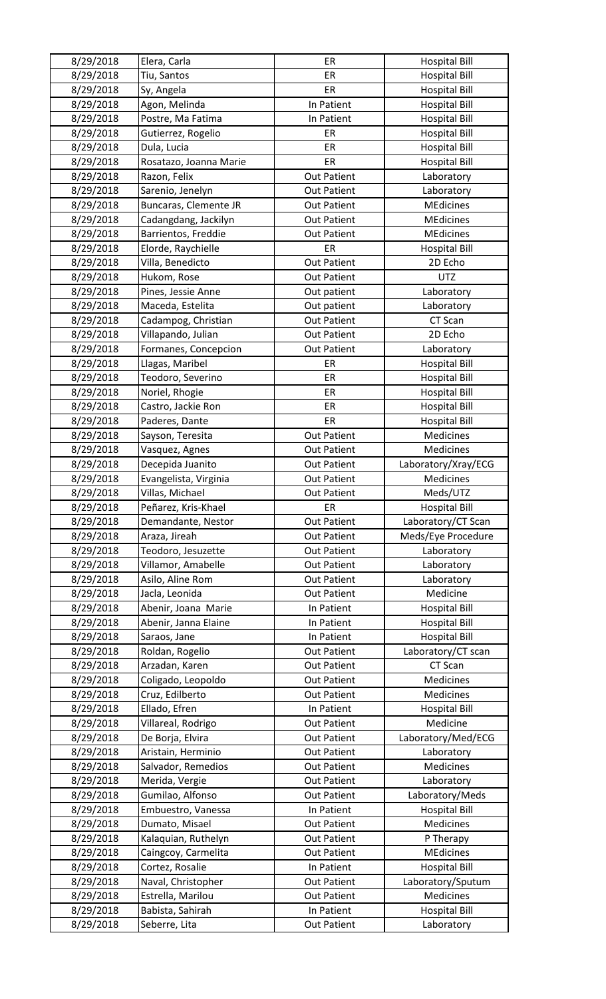| 8/29/2018 | Elera, Carla           | ER                                       | <b>Hospital Bill</b>          |
|-----------|------------------------|------------------------------------------|-------------------------------|
| 8/29/2018 | Tiu, Santos            | ER                                       | <b>Hospital Bill</b>          |
| 8/29/2018 | Sy, Angela             | ER                                       | <b>Hospital Bill</b>          |
| 8/29/2018 | Agon, Melinda          | In Patient                               | <b>Hospital Bill</b>          |
| 8/29/2018 | Postre, Ma Fatima      | In Patient                               | <b>Hospital Bill</b>          |
| 8/29/2018 | Gutierrez, Rogelio     | ER                                       | <b>Hospital Bill</b>          |
| 8/29/2018 | Dula, Lucia            | ER                                       | <b>Hospital Bill</b>          |
| 8/29/2018 | Rosatazo, Joanna Marie | ER                                       | <b>Hospital Bill</b>          |
| 8/29/2018 | Razon, Felix           | <b>Out Patient</b>                       | Laboratory                    |
| 8/29/2018 | Sarenio, Jenelyn       | <b>Out Patient</b>                       | Laboratory                    |
| 8/29/2018 | Buncaras, Clemente JR  | <b>Out Patient</b>                       | <b>MEdicines</b>              |
| 8/29/2018 | Cadangdang, Jackilyn   | <b>Out Patient</b>                       | <b>MEdicines</b>              |
| 8/29/2018 | Barrientos, Freddie    | <b>Out Patient</b>                       | <b>MEdicines</b>              |
| 8/29/2018 | Elorde, Raychielle     | ER                                       | <b>Hospital Bill</b>          |
| 8/29/2018 | Villa, Benedicto       | <b>Out Patient</b>                       | 2D Echo                       |
| 8/29/2018 | Hukom, Rose            | <b>Out Patient</b>                       | <b>UTZ</b>                    |
| 8/29/2018 | Pines, Jessie Anne     | Out patient                              | Laboratory                    |
| 8/29/2018 | Maceda, Estelita       | Out patient                              | Laboratory                    |
| 8/29/2018 | Cadampog, Christian    | <b>Out Patient</b>                       | CT Scan                       |
| 8/29/2018 | Villapando, Julian     | <b>Out Patient</b>                       | 2D Echo                       |
| 8/29/2018 | Formanes, Concepcion   | <b>Out Patient</b>                       | Laboratory                    |
| 8/29/2018 | Llagas, Maribel        | ER                                       | <b>Hospital Bill</b>          |
| 8/29/2018 | Teodoro, Severino      | ER                                       | <b>Hospital Bill</b>          |
| 8/29/2018 | Noriel, Rhogie         | ER                                       | <b>Hospital Bill</b>          |
| 8/29/2018 | Castro, Jackie Ron     | ER                                       | <b>Hospital Bill</b>          |
| 8/29/2018 | Paderes, Dante         | ER                                       | <b>Hospital Bill</b>          |
| 8/29/2018 | Sayson, Teresita       | <b>Out Patient</b>                       | Medicines                     |
| 8/29/2018 | Vasquez, Agnes         | <b>Out Patient</b>                       | Medicines                     |
| 8/29/2018 | Decepida Juanito       | <b>Out Patient</b>                       | Laboratory/Xray/ECG           |
| 8/29/2018 | Evangelista, Virginia  | <b>Out Patient</b>                       | Medicines                     |
| 8/29/2018 | Villas, Michael        | <b>Out Patient</b>                       | Meds/UTZ                      |
| 8/29/2018 | Peñarez, Kris-Khael    | ER                                       | <b>Hospital Bill</b>          |
| 8/29/2018 | Demandante, Nestor     | <b>Out Patient</b>                       | Laboratory/CT Scan            |
| 8/29/2018 | Araza, Jireah          | <b>Out Patient</b>                       | Meds/Eye Procedure            |
| 8/29/2018 | Teodoro, Jesuzette     | <b>Out Patient</b>                       | Laboratory                    |
| 8/29/2018 | Villamor, Amabelle     | <b>Out Patient</b>                       | Laboratory                    |
| 8/29/2018 | Asilo, Aline Rom       | <b>Out Patient</b>                       | Laboratory                    |
| 8/29/2018 | Jacla, Leonida         | <b>Out Patient</b>                       | Medicine                      |
| 8/29/2018 | Abenir, Joana Marie    | In Patient                               | <b>Hospital Bill</b>          |
| 8/29/2018 | Abenir, Janna Elaine   | In Patient                               | <b>Hospital Bill</b>          |
| 8/29/2018 | Saraos, Jane           | In Patient                               | <b>Hospital Bill</b>          |
| 8/29/2018 | Roldan, Rogelio        | <b>Out Patient</b>                       | Laboratory/CT scan            |
| 8/29/2018 | Arzadan, Karen         | <b>Out Patient</b>                       | CT Scan                       |
| 8/29/2018 | Coligado, Leopoldo     | <b>Out Patient</b>                       | Medicines                     |
| 8/29/2018 | Cruz, Edilberto        | <b>Out Patient</b>                       | Medicines                     |
| 8/29/2018 | Ellado, Efren          | In Patient                               | <b>Hospital Bill</b>          |
| 8/29/2018 | Villareal, Rodrigo     | <b>Out Patient</b>                       | Medicine                      |
| 8/29/2018 | De Borja, Elvira       |                                          | Laboratory/Med/ECG            |
| 8/29/2018 | Aristain, Herminio     | <b>Out Patient</b><br><b>Out Patient</b> | Laboratory                    |
| 8/29/2018 | Salvador, Remedios     | <b>Out Patient</b>                       | Medicines                     |
| 8/29/2018 | Merida, Vergie         | <b>Out Patient</b>                       | Laboratory                    |
| 8/29/2018 | Gumilao, Alfonso       | <b>Out Patient</b>                       | Laboratory/Meds               |
| 8/29/2018 | Embuestro, Vanessa     | In Patient                               | <b>Hospital Bill</b>          |
| 8/29/2018 | Dumato, Misael         | <b>Out Patient</b>                       | Medicines                     |
| 8/29/2018 | Kalaquian, Ruthelyn    |                                          |                               |
|           |                        | <b>Out Patient</b>                       | P Therapy<br><b>MEdicines</b> |
| 8/29/2018 | Caingcoy, Carmelita    | <b>Out Patient</b>                       |                               |
| 8/29/2018 | Cortez, Rosalie        | In Patient                               | <b>Hospital Bill</b>          |
| 8/29/2018 | Naval, Christopher     | <b>Out Patient</b>                       | Laboratory/Sputum             |
| 8/29/2018 | Estrella, Marilou      | <b>Out Patient</b>                       | Medicines                     |
| 8/29/2018 | Babista, Sahirah       | In Patient                               | <b>Hospital Bill</b>          |
| 8/29/2018 | Seberre, Lita          | <b>Out Patient</b>                       | Laboratory                    |